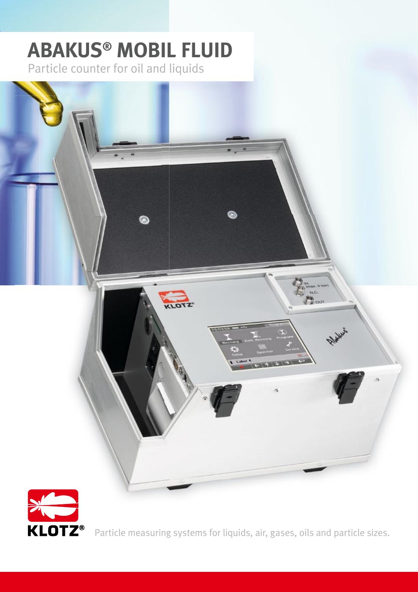# **ABAKUS® MOBIL FLUID** Particle counter for oil and liquids





Particle measuring systems for liquids, air, gases, oils and particle sizes.